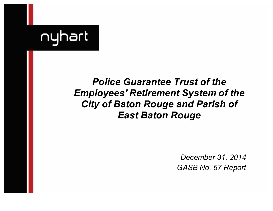

# *Police Guarantee Trust of the Employees' Retirement System of the City of Baton Rouge and Parish of East Baton Rouge*

*December 31, 2014 GASB No. 67 Report*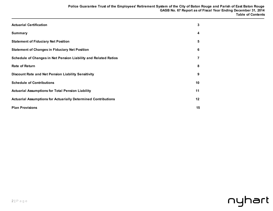| <b>Actuarial Certification</b>                                        | 3  |
|-----------------------------------------------------------------------|----|
| <b>Summary</b>                                                        | 4  |
| <b>Statement of Fiduciary Net Position</b>                            | 5  |
| <b>Statement of Changes in Fiduciary Net Position</b>                 | 6  |
| Schedule of Changes in Net Pension Liability and Related Ratios       |    |
| <b>Rate of Return</b>                                                 | 8  |
| Discount Rate and Net Pension Liability Sensitivity                   | 9  |
| <b>Schedule of Contributions</b>                                      | 10 |
| <b>Actuarial Assumptions for Total Pension Liability</b>              | 11 |
| <b>Actuarial Assumptions for Actuarially Determined Contributions</b> | 12 |
| <b>Plan Provisions</b>                                                | 15 |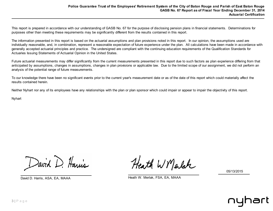This report is prepared in accordance with our understanding of GASB No. 67 for the purpose of disclosing pension plans in financial statements. Determinations for purposes other than meeting these requirements may be significantly different from the results contained in this report.

The information presented in this report is based on the actuarial assumptions and plan provisions noted in this report. In our opinion, the assumptions used are individually reasonable, and, in combination, represent a reasonable expectation of future experience under the plan. All calculations have been made in accordance with generally accepted actuarial principles and practice. The undersigned are compliant with the continuing education requirements of the Qualification Standards for Actuaries Issuing Statements of Actuarial Opinion in the United States.

Future actuarial measurements may differ significantly from the current measurements presented in this report due to such factors as plan experience differing from that anticipated by assumptions, changes in assumptions, changes in plan provisions or applicable law. Due to the limited scope of our assignment, we did not perform an analysis of the potential range of future measurements.

To our knowledge there have been no significant events prior to the current year's measurement date or as of the date of this report which could materially affect the results contained herein.

Neither Nyhart nor any of its employees have any relationships with the plan or plan sponsor which could impair or appear to impair the objectivity of this report.

Nyhart

David D. Harris

Heath W Marlak

05/13/2015

David D. Harris, ASA, EA, MAAA Heath W. Merlak, FSA, EA, MAAA

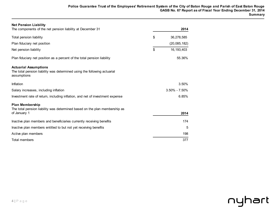| <b>Net Pension Liability</b><br>The components of the net pension liability at December 31                              | 2014               |
|-------------------------------------------------------------------------------------------------------------------------|--------------------|
| Total pension liability                                                                                                 | \$<br>36,278,585   |
| Plan fiduciary net position                                                                                             | (20,085,182)       |
| Net pension liability                                                                                                   | \$<br>16, 193, 403 |
| Plan fiduciary net position as a percent of the total pension liability                                                 | 55.36%             |
| <b>Actuarial Assumptions</b><br>The total pension liability was determined using the following actuarial<br>assumptions |                    |
| Inflation                                                                                                               | 3.50%              |
| Salary increases, including inflation                                                                                   | $3.50\% - 7.50\%$  |
| Investment rate of return, including inflation, and net of investment expense                                           | 6.85%              |
| <b>Plan Membership</b><br>The total pension liability was determined based on the plan membership as<br>of January 1    | 2014               |
| Inactive plan members and beneficiaries currently receiving benefits                                                    | 174                |
| Inactive plan members entitled to but not yet receiving benefits                                                        | 5                  |
| Active plan members                                                                                                     | 198                |
| <b>Total members</b>                                                                                                    | 377                |

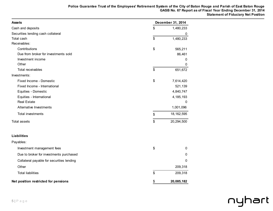| <b>Assets</b>                             | December 31, 2014  |
|-------------------------------------------|--------------------|
| Cash and deposits                         | \$<br>1,480,233    |
| Securities lending cash collateral        | 0                  |
| Total cash                                | \$<br>1,480,233    |
| Receivables:                              |                    |
| Contributions                             | \$<br>565,211      |
| Due from broker for investments sold      | 86,461             |
| Investment income                         | 0                  |
| Other                                     | 0                  |
| Total receivables                         | \$<br>651,672      |
| Investments:                              |                    |
| Fixed Income - Domestic                   | \$<br>7,614,420    |
| Fixed Income - International              | 521,139            |
| Equities - Domestic                       | 4,840,747          |
| Equities - International                  | 4, 185, 193        |
| <b>Real Estate</b>                        | 0                  |
| Alternative Investments                   | 1,001,096          |
| Total investments                         | \$<br>18, 162, 595 |
| <b>Total assets</b>                       | \$<br>20,294,500   |
| <b>Liabilities</b>                        |                    |
| Payables:                                 |                    |
| Investment management fees                | \$<br>0            |
| Due to broker for investments purchased   | 0                  |
| Collateral payable for securities lending | 0                  |
| Other                                     | 209,318            |
| <b>Total liabilities</b>                  | \$<br>209,318      |
| Net position restricted for pensions      | \$<br>20,085,182   |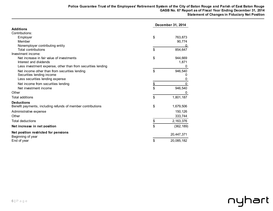|                                                             | December 31, 2014 |             |  |
|-------------------------------------------------------------|-------------------|-------------|--|
| <b>Additions</b>                                            |                   |             |  |
| Contributions:                                              |                   |             |  |
| Employer                                                    | \$                | 763,873     |  |
| Member                                                      |                   | 90,774      |  |
| Nonemployer contributing entity                             |                   | U           |  |
| <b>Total contributions</b>                                  | \$                | 854,647     |  |
| Investment income:                                          |                   |             |  |
| Net increase in fair value of investments                   | \$                | 944,669     |  |
| Interest and dividends                                      |                   | 1,871       |  |
| Less investment expense, other than from securities lending |                   | 0           |  |
| Net income other than from securities lending               | \$                | 946,540     |  |
| Securities lending income                                   |                   | 0           |  |
| Less securities lending expense                             |                   | 0           |  |
| Net income from securities lending                          | \$                | $\mathbf 0$ |  |
| Net investment income                                       | \$                | 946,540     |  |
| Other                                                       |                   |             |  |
| Total additions                                             | \$                | 1,801,187   |  |
| <b>Deductions</b>                                           |                   |             |  |
| Benefit payments, including refunds of member contributions | \$                | 1,679,506   |  |
| Administrative expense                                      |                   | 150,126     |  |
| Other                                                       |                   | 333,744     |  |
| <b>Total deductions</b>                                     | \$                | 2,163,376   |  |
| Net increase in net position                                | \$                | (362, 189)  |  |
| Net position restricted for pensions<br>Beginning of year   |                   | 20,447,371  |  |
| End of year                                                 | \$                | 20,085,182  |  |

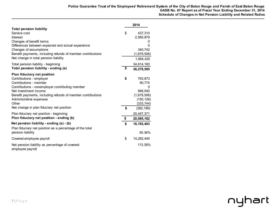|                                                                                     | 2014                     |
|-------------------------------------------------------------------------------------|--------------------------|
| <b>Total pension liability</b><br>Service cost                                      | \$<br>437,310            |
| Interest                                                                            | 2,565,879                |
| Changes of benefit terms                                                            | 0                        |
| Differences between expected and actual experience                                  | 0                        |
| Changes of assumptions                                                              | 340,742                  |
| Benefit payments, including refunds of member contributions                         | (1,679,506)              |
| Net change in total pension liability                                               | 1,664,425                |
| Total pension liability - beginning                                                 | 34,614,160               |
| Total pension liability - ending (a)                                                | \$<br>36,278,585         |
| Plan fiduciary net position                                                         |                          |
| Contributions - employer                                                            | \$<br>763,873            |
| Contributions - member                                                              | 90,774                   |
| Contributions - nonemployer contributing member                                     | 0                        |
| Net investment income                                                               | 946,540                  |
| Benefit payments, including refunds of member contributions                         | (1,679,506)              |
| Administrative expenses<br>Other                                                    | (150, 126)<br>(333, 744) |
| Net change in plan fiduciary net position                                           | \$<br>(362, 189)         |
|                                                                                     |                          |
| Plan fiduciary net position - beginning<br>Plan fiduciary net position - ending (b) | \$<br>20,447,371         |
|                                                                                     | 20,085,182               |
| Net pension liability - ending (a) - (b)                                            | \$<br>16, 193, 403       |
| Plan fiduciary net position as a percentage of the total<br>pension liability       | 55.36%                   |
| Covered-employee payroll                                                            | \$<br>14,282,440         |
| Net pension liability as percentage of covered-<br>employee payroll                 | 113.38%                  |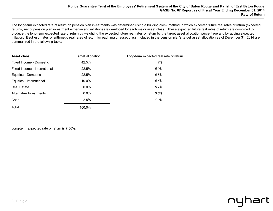The long-term expected rate of return on pension plan investments was determined using a building-block method in which expected future real rates of return (expected returns, net of pension plan investment expense and inflation) are developed for each major asset class. These expected future real rates of return are combined to produce the long-term expected rate of return by weighting the expected future real rates of return by the target asset allocation percentage and by adding expected inflation. Best estimates of arithmetic real rates of return for each major asset class included in the pension plan's target asset allocation as of December 31, 2014 are summarized in the following table:

| Asset class                  | Target allocation | Long-term expected real rate of return |
|------------------------------|-------------------|----------------------------------------|
| Fixed Income - Domestic      | 42.5%             | 1.7%                                   |
| Fixed Income - International | 22.5%             | 5.0%                                   |
| Equities - Domestic          | 22.5%             | 6.8%                                   |
| Equities - International     | 10.0%             | 6.4%                                   |
| <b>Real Estate</b>           | 0.0%              | 5.7%                                   |
| Alternative Investments      | $0.0\%$           | $0.0\%$                                |
| Cash                         | 2.5%              | 1.0%                                   |
| Total                        | 100.0%            |                                        |

Long-term expected rate of return is 7.50%.

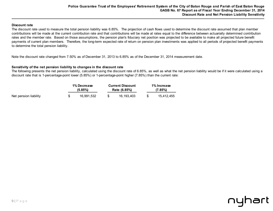# **Discount rate**

The discount rate used to measure the total pension liability was 6.85%. The projection of cash flows used to determine the discount rate assumed that plan member contributions will be made at the current contribution rate and that contributions will be made at rates equal to the difference between actuarially determined contribution rates and the member rate. Based on those assumptions, the pension plan's fiduciary net position was projected to be available to make all projected future benefit payments of current plan members. Therefore, the long-term expected rate of return on pension plan investments was applied to all periods of projected benefit payments to determine the total pension liability.

Note the discount rate changed from 7.50% as of December 31, 2013 to 6.85% as of the December 31, 2014 measurement date.

# **Sensitivity of the net pension liability to changes in the discount rate**

The following presents the net pension liability, calculated using the discount rate of 6.85%, as well as what the net pension liability would be if it were calculated using a discount rate that is 1-percentage-point lower (5.85%) or 1-percentage-point higher (7.85%) than the current rate:

|                       | 1% Decrease<br>$(5.85\%)$ | <b>Current Discount</b><br>Rate (6.85%) |            |  | 1% Increase<br>$(7.85\%)$ |  |  |
|-----------------------|---------------------------|-----------------------------------------|------------|--|---------------------------|--|--|
| Net pension liability | 16.991.532                |                                         | 16.193.403 |  | 15.412.455                |  |  |

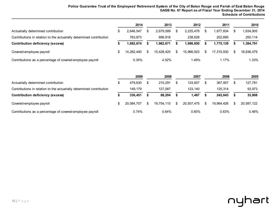|                                                                      | 2014       | 2013       | 2012       |     | 2011       |     | 2010       |
|----------------------------------------------------------------------|------------|------------|------------|-----|------------|-----|------------|
| Actuarially determined contribution                                  | 2.646.547  | 2.679.589  | 2.225.478  | \$. | 1,977,834  |     | ,634,905   |
| Contributions in relation to the actuarially determined contribution | 763.873    | 696.918    | 238.628    |     | 202.695    |     | 250,114    |
| <b>Contribution deficiency (excess)</b>                              | 1,882,674  | 1,982,671  | .986,850   |     | 1,775,139  |     | 1,384,791  |
| Covered-employee payroll                                             | 14.282.440 | 15.428.420 | 15.966.923 | S   | 17.315.930 | \$. | 18,836,479 |
| Contributions as a percentage of covered-employee payroll            | 5.35%      | 4.52%      | 1.49%      |     | 1.17%      |     | 1.33%      |

|                                                                      | 2009          |     | 2008       | 2007       | 2006       | 2005       |
|----------------------------------------------------------------------|---------------|-----|------------|------------|------------|------------|
| Actuarially determined contribution                                  | \$<br>479.630 |     | 215.291    | 124.607    | 367,957    | 127,781    |
| Contributions in relation to the actuarially determined contribution | 149.179       |     | 127.087    | 123.140    | 125.314    | 93,973     |
| <b>Contribution deficiency (excess)</b>                              | 330,451       |     | 88,204     | .467       | 242,643    | 33,808     |
| Covered-employee payroll                                             | 20.084.707    | \$. | 19,754,110 | 20,507,475 | 19,964,426 | 20,587,122 |
| Contributions as a percentage of covered-employee payroll            | 0.74%         |     | 0.64%      | 0.60%      | 0.63%      | 0.46%      |

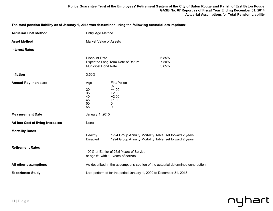**The total pension liability as of January 1, 2015 was determined using the following actuarial assumptions:** 

| <b>Actuarial Cost Method</b>                      | Entry Age Method                                                                 |                                                                                                                    |                         |  |  |
|---------------------------------------------------|----------------------------------------------------------------------------------|--------------------------------------------------------------------------------------------------------------------|-------------------------|--|--|
| <b>Asset Method</b>                               | Market Value of Assets                                                           |                                                                                                                    |                         |  |  |
| <b>Interest Rates</b>                             |                                                                                  |                                                                                                                    |                         |  |  |
|                                                   | <b>Discount Rate</b><br><b>Municipal Bond Rate</b>                               | Expected Long Term Rate of Return                                                                                  | 6.85%<br>7.50%<br>3.65% |  |  |
| Inflation                                         | 3.50%                                                                            |                                                                                                                    |                         |  |  |
| <b>Annual Pay Increases</b>                       | <u>Age</u><br>30<br>35<br>40<br>45<br>50<br>55                                   | Fire/Police<br>$\frac{0}{2}$<br>$+4.00$<br>$+2.00$<br>$+2.00$<br>$+1.00$<br>0<br>0                                 |                         |  |  |
| <b>Measurement Date</b>                           | January 1, 2015                                                                  |                                                                                                                    |                         |  |  |
| <b>Ad-hoc Cost-of-living Increases</b>            | None                                                                             |                                                                                                                    |                         |  |  |
| <b>Mortality Rates</b><br><b>Retirement Rates</b> | Healthy<br>Disabled                                                              | 1994 Group Annuity Mortality Table, set forward 2 years<br>1994 Group Annuity Mortality Table, set forward 2 years |                         |  |  |
|                                                   | 100% at Earlier of 25.5 Years of Service<br>or age 61 with 11 years of service   |                                                                                                                    |                         |  |  |
| All other assumptions                             | As described in the assumptions section of the actuarial determined contribution |                                                                                                                    |                         |  |  |
| <b>Experience Study</b>                           | Last performed for the period January 1, 2009 to December 31, 2013               |                                                                                                                    |                         |  |  |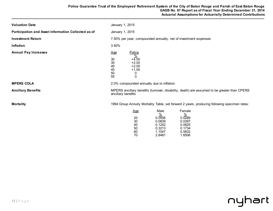| <b>Valuation Date</b>                               | January 1, 2015                                                                                                                                                                                                |
|-----------------------------------------------------|----------------------------------------------------------------------------------------------------------------------------------------------------------------------------------------------------------------|
| Participation and Asset Information Collected as of | January 1, 2015                                                                                                                                                                                                |
| <b>Investment Return</b>                            | 7.50% per year, compounded annually, net of investment expenses                                                                                                                                                |
| Inflation                                           | 3.50%                                                                                                                                                                                                          |
| <b>Annual Pay Increases</b>                         | Police<br><u>Age</u><br>$\frac{0}{0}$<br>$+4.00$<br>30<br>35<br>$+2.00$<br>40<br>$+2.00$<br>45<br>$+1.00$<br>50<br>0<br>55<br>0                                                                                |
| <b>MPERS COLA</b>                                   | 2.0% compounded annually due to inflation                                                                                                                                                                      |
| <b>Ancillary Benefits</b>                           | MPERS ancillary benefits (turnover, disability, death) are assumed to be greater than CPERS<br>ancillary benefits                                                                                              |
| <b>Mortality</b>                                    | 1994 Group Annuity Mortality Table, set forward 2 years, producing following specimen rates:                                                                                                                   |
|                                                     | Male<br>Female<br><u>Age</u><br>%<br>$\frac{0}{0}$<br>0.0556<br>0.0289<br>20<br>30<br>0.0839<br>0.0397<br>0.1252<br>0.0825<br>40<br>0.3213<br>0.1734<br>50<br>1.1047<br>0.5832<br>60<br>1.6506<br>70<br>2.8481 |

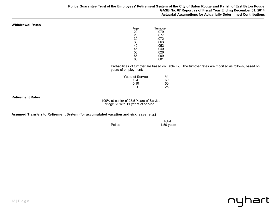#### **Withdrawal Rates**

| αe | Turnover |
|----|----------|
| 20 | .079     |
| 25 | .077     |
| 30 | .072     |
| 35 | .063     |
| 40 | .052     |
| 45 | .040     |
| 50 | .026     |
| 55 | .009     |
| 60 | .001     |
|    |          |

Probabilities of turnover are based on Table T-5. The turnover rates are modified as follows, based on years of employment:

| $\%$ |
|------|
| 60   |
| 50   |
| 25   |
|      |

**Retirement Rates**

100% at earlier of 25.5 Years of Service or age 61 with 11 years of service

**Assumed Transfers to Retirement System (for accumulated vacation and sick leave, e.g.)**

 Total Police 2.50 years

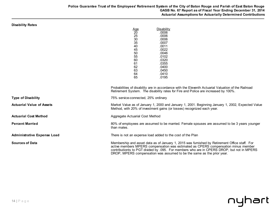DROP, MPERS compensation was assumed to be the same as the prior year.

nyhart

| <b>Disability Rates</b>          | <b>Disability</b><br>$\frac{\text{Age}}{20}$<br>.0006<br>25<br>.0006<br>30<br>.0006<br>35<br>.0007<br>40<br>.0011<br>.0022<br>45<br>50<br>.0046<br>55<br>.0102<br>60<br>.0320<br>.0355<br>61<br>62<br>.0400<br>63<br>.0450<br>64<br>.0410<br>65<br>.0195<br>Probabilities of disability are in accordance with the Eleventh Actuarial Valuation of the Railroad |
|----------------------------------|-----------------------------------------------------------------------------------------------------------------------------------------------------------------------------------------------------------------------------------------------------------------------------------------------------------------------------------------------------------------|
|                                  | Retirement System. The disability rates for Fire and Police are increased by 100%.                                                                                                                                                                                                                                                                              |
| <b>Type of Disability</b>        | 75% service-connected, 25% ordinary                                                                                                                                                                                                                                                                                                                             |
| <b>Actuarial Value of Assets</b> | Market Value as of January 1, 2000 and January 1, 2001. Beginning January 1, 2002, Expected Value<br>Method, with 20% of investment gains (or losses) recognized each year.                                                                                                                                                                                     |
| <b>Actuarial Cost Method</b>     | Aggregate Actuarial Cost Method                                                                                                                                                                                                                                                                                                                                 |
| <b>Percent Married</b>           | 80% of employees are assumed to be married. Female spouses are assumed to be 3 years younger<br>than males.                                                                                                                                                                                                                                                     |
| Administrative Expense Load      | There is not an expense load added to the cost of the Plan                                                                                                                                                                                                                                                                                                      |
| <b>Sources of Data</b>           | Membership and asset data as of January 1, 2015 was furnished by Retirement Office staff. For<br>active members MPERS compensation was estimated as CPERS compensation minus member<br>contributionts to PGT divided by .095. For members who are in CPERS DROP, but not in MPERS                                                                               |

# 14 | P a g e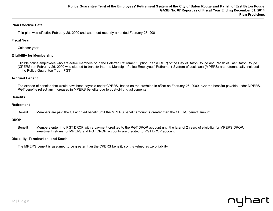# **Plan Effective Date**

This plan was effective February 26, 2000 and was most recently amended February 28, 2001

### **Fiscal Year**

Calendar year

# **Eligibility for Membership**

Eligible police employees who are active members or in the Deferred Retirement Option Plan (DROP) of the City of Baton Rouge and Parish of East Baton Rouge (CPERS) on February 26, 2000 who elected to transfer into the Municipal Police Employees' Retirement System of Louisiana (MPERS) are automatically included in the Police Guarantee Trust (PGT)

# **Accrued Benefit**

The excess of benefits that would have been payable under CPERS, based on the provision in effect on February 26, 2000, over the benefits payable under MPERS. PGT benefits reflect any increases in MPERS benefits due to cost-of-living adjusments.

### **Benefits**

### **Retirement**

Benefit Members are paid the full accrued benefit until the MPERS benefit amount is greater than the CPERS benefit amount

### **DROP**

Benefit Members enter into PGT DROP with a payment credited to the PGT DROP account until the later of 2 years of eligibility for MPERS DROP. Investment returns for MPERS and PGT DROP accounts are credited to PGT DROP account.

### **Disability, Termination, and Death**

The MPERS benefit is assumed to be greater than the CPERS benefit, so it is valued as zero liability